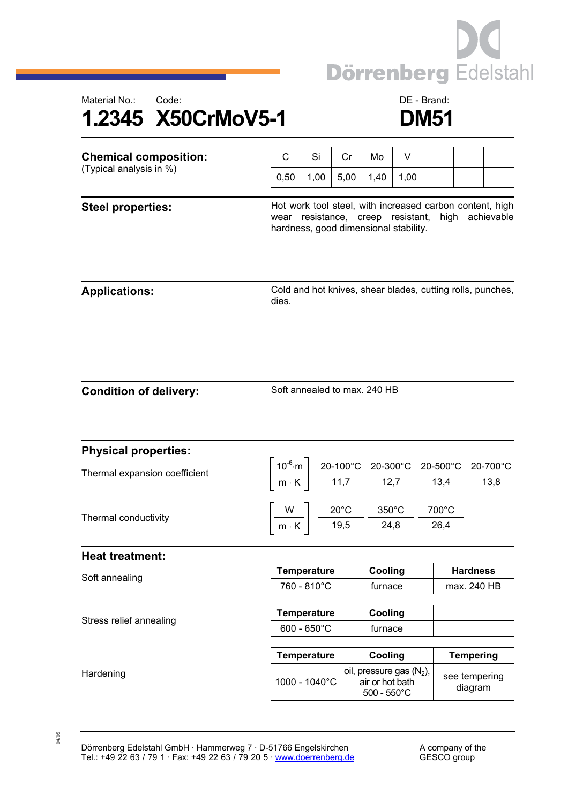



| <b>Chemical composition:</b><br>(Typical analysis in %) | C                                                                                                                                                         | Si                                                                                       | Cr   | Mo                                                                      | V    |                                                                                                                                                                                                                                                                                           |                                |  |
|---------------------------------------------------------|-----------------------------------------------------------------------------------------------------------------------------------------------------------|------------------------------------------------------------------------------------------|------|-------------------------------------------------------------------------|------|-------------------------------------------------------------------------------------------------------------------------------------------------------------------------------------------------------------------------------------------------------------------------------------------|--------------------------------|--|
|                                                         | 0,50                                                                                                                                                      | 1,00                                                                                     | 5,00 | 1,40                                                                    | 1,00 |                                                                                                                                                                                                                                                                                           |                                |  |
| <b>Steel properties:</b>                                | Hot work tool steel, with increased carbon content, high<br>high achievable<br>wear resistance, creep resistant,<br>hardness, good dimensional stability. |                                                                                          |      |                                                                         |      |                                                                                                                                                                                                                                                                                           |                                |  |
| <b>Applications:</b>                                    | dies.                                                                                                                                                     |                                                                                          |      |                                                                         |      | Cold and hot knives, shear blades, cutting rolls, punches,                                                                                                                                                                                                                                |                                |  |
| <b>Condition of delivery:</b>                           | Soft annealed to max. 240 HB                                                                                                                              |                                                                                          |      |                                                                         |      |                                                                                                                                                                                                                                                                                           |                                |  |
| <b>Physical properties:</b>                             |                                                                                                                                                           |                                                                                          |      |                                                                         |      |                                                                                                                                                                                                                                                                                           |                                |  |
| Thermal expansion coefficient                           |                                                                                                                                                           |                                                                                          |      |                                                                         |      | $\left\lceil \frac{10^{-6} \text{ m}}{\text{m} \cdot \text{K}} \right\rceil \frac{20 \text{ - } 100^{\circ} \text{C}}{11,7} \frac{20 \text{ - } 300^{\circ} \text{C}}{12,7} \frac{20 \text{ - } 500^{\circ} \text{C}}{13,4} \frac{20 \text{ - } 700^{\circ} \text{C}}{13,8} \right\rceil$ |                                |  |
| Thermal conductivity                                    |                                                                                                                                                           | $\left[\frac{W}{m\cdot K}\right]$ $\frac{20^{\circ}C}{19.5}$ $\frac{350^{\circ}C}{24.8}$ |      |                                                                         |      | 700°C<br>26,4                                                                                                                                                                                                                                                                             |                                |  |
| <b>Heat treatment:</b>                                  |                                                                                                                                                           |                                                                                          |      |                                                                         |      |                                                                                                                                                                                                                                                                                           |                                |  |
| Soft annealing                                          |                                                                                                                                                           | Temperature<br>760 - 810°C                                                               |      | Cooling<br>furnace                                                      |      |                                                                                                                                                                                                                                                                                           | <b>Hardness</b><br>max. 240 HB |  |
| Stress relief annealing                                 | <b>Temperature</b><br>$600 - 650^{\circ}$ C                                                                                                               |                                                                                          |      | Cooling<br>furnace                                                      |      |                                                                                                                                                                                                                                                                                           |                                |  |
|                                                         | <b>Temperature</b>                                                                                                                                        |                                                                                          |      | Cooling                                                                 |      |                                                                                                                                                                                                                                                                                           | <b>Tempering</b>               |  |
| Hardening                                               |                                                                                                                                                           | 1000 - 1040°C                                                                            |      | oil, pressure gas $(N_2)$ ,<br>air or hot bath<br>$500 - 550^{\circ}$ C |      |                                                                                                                                                                                                                                                                                           | see tempering<br>diagram       |  |